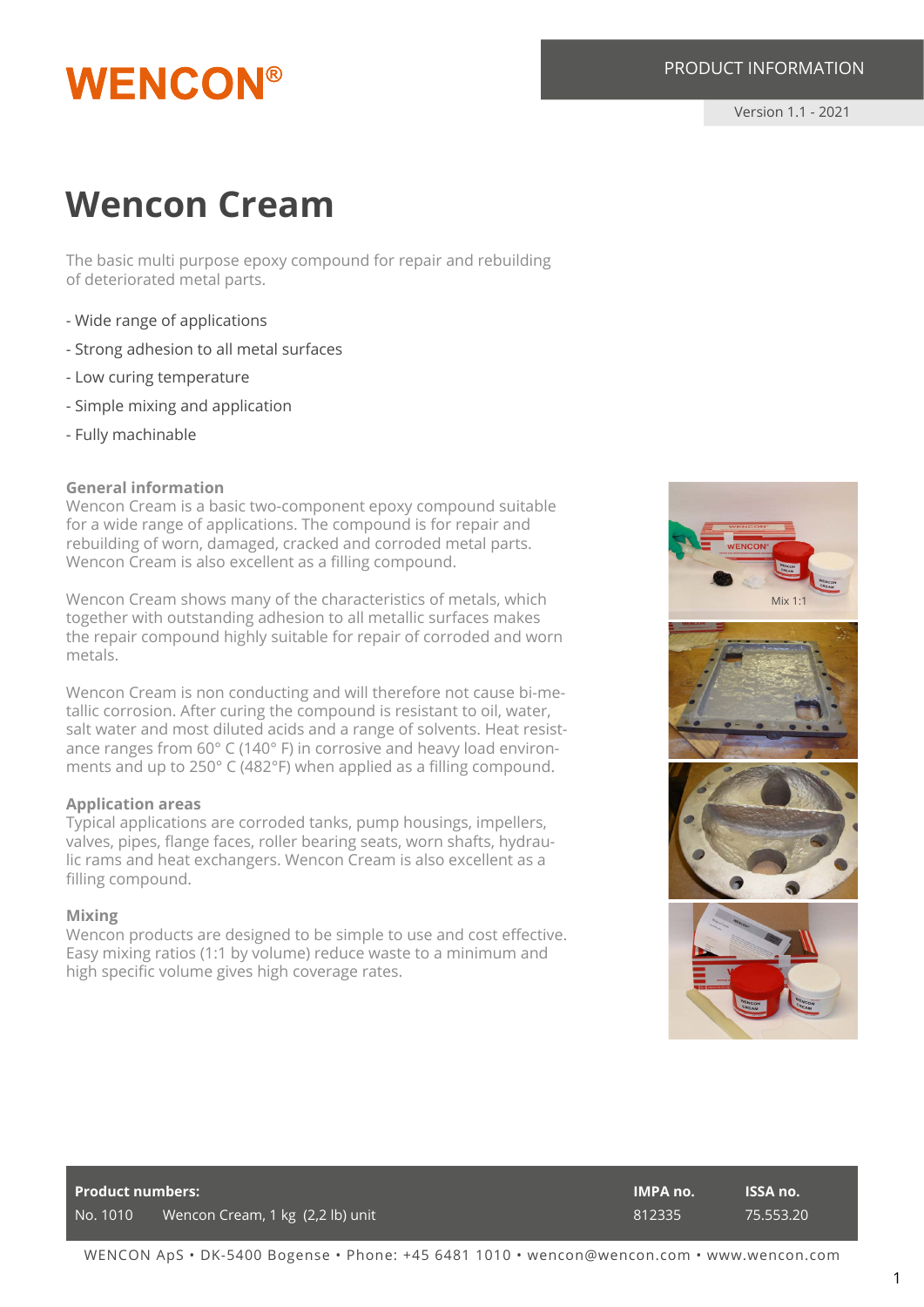## **WENCON®**

Version 1.1 - 2021

### **Wencon Cream**

The basic multi purpose epoxy compound for repair and rebuilding of deteriorated metal parts.

- Wide range of applications
- Strong adhesion to all metal surfaces
- Low curing temperature
- Simple mixing and application
- Fully machinable

#### **General information**

Wencon Cream is a basic two-component epoxy compound suitable for a wide range of applications. The compound is for repair and rebuilding of worn, damaged, cracked and corroded metal parts. Wencon Cream is also excellent as a filling compound.

Wencon Cream shows many of the characteristics of metals, which together with outstanding adhesion to all metallic surfaces makes the repair compound highly suitable for repair of corroded and worn metals.

Wencon Cream is non conducting and will therefore not cause bi-metallic corrosion. After curing the compound is resistant to oil, water, salt water and most diluted acids and a range of solvents. Heat resistance ranges from 60° C (140° F) in corrosive and heavy load environments and up to 250° C (482°F) when applied as a filling compound.

#### **Application areas**

Typical applications are corroded tanks, pump housings, impellers, valves, pipes, flange faces, roller bearing seats, worn shafts, hydraulic rams and heat exchangers. Wencon Cream is also excellent as a filling compound.

#### **Mixing**

Wencon products are designed to be simple to use and cost effective. Easy mixing ratios (1:1 by volume) reduce waste to a minimum and high specific volume gives high coverage rates.



| <b>Product numbers:</b> |                                  | <b>IMPA no.</b> | <b>ISSA no.</b> |
|-------------------------|----------------------------------|-----------------|-----------------|
| No. 1010                | Wencon Cream, 1 kg (2,2 lb) unit | 812335          | 75.553.20       |